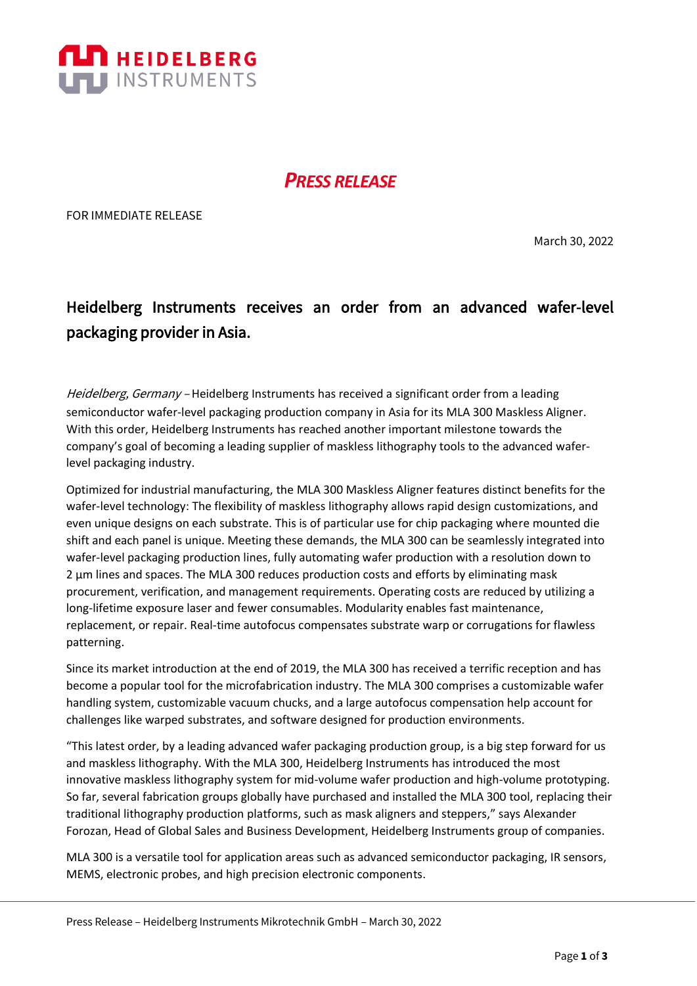

## *PRESS RELEASE*

FOR IMMEDIATE RELEASE

March 30, 2022

# Heidelberg Instruments receives an order from an advanced wafer-level packaging provider in Asia.

Heidelberg, Germany – Heidelberg Instruments has received a significant order from a leading semiconductor wafer-level packaging production company in Asia for its MLA 300 Maskless Aligner. With this order, Heidelberg Instruments has reached another important milestone towards the company's goal of becoming a leading supplier of maskless lithography tools to the advanced waferlevel packaging industry.

Optimized for industrial manufacturing, the MLA 300 Maskless Aligner features distinct benefits for the wafer-level technology: The flexibility of maskless lithography allows rapid design customizations, and even unique designs on each substrate. This is of particular use for chip packaging where mounted die shift and each panel is unique. Meeting these demands, the MLA 300 can be seamlessly integrated into wafer-level packaging production lines, fully automating wafer production with a resolution down to 2 µm lines and spaces. The MLA 300 reduces production costs and efforts by eliminating mask procurement, verification, and management requirements. Operating costs are reduced by utilizing a long-lifetime exposure laser and fewer consumables. Modularity enables fast maintenance, replacement, or repair. Real-time autofocus compensates substrate warp or corrugations for flawless patterning.

Since its market introduction at the end of 2019, the MLA 300 has received a terrific reception and has become a popular tool for the microfabrication industry. The MLA 300 comprises a customizable wafer handling system, customizable vacuum chucks, and a large autofocus compensation help account for challenges like warped substrates, and software designed for production environments.

"This latest order, by a leading advanced wafer packaging production group, is a big step forward for us and maskless lithography. With the MLA 300, Heidelberg Instruments has introduced the most innovative maskless lithography system for mid-volume wafer production and high-volume prototyping. So far, several fabrication groups globally have purchased and installed the MLA 300 tool, replacing their traditional lithography production platforms, such as mask aligners and steppers," says Alexander Forozan, Head of Global Sales and Business Development, Heidelberg Instruments group of companies.

MLA 300 is a versatile tool for application areas such as advanced semiconductor packaging, IR sensors, MEMS, electronic probes, and high precision electronic components.